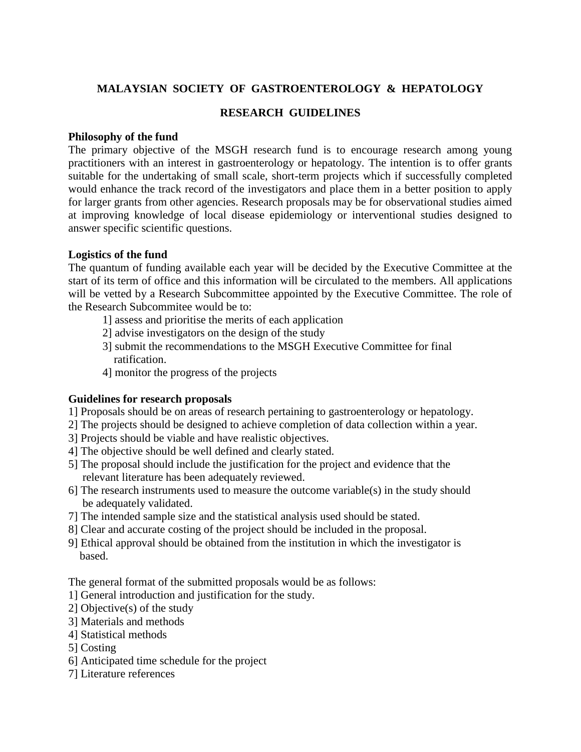# **MALAYSIAN SOCIETY OF GASTROENTEROLOGY & HEPATOLOGY**

## **RESEARCH GUIDELINES**

#### **Philosophy of the fund**

The primary objective of the MSGH research fund is to encourage research among young practitioners with an interest in gastroenterology or hepatology. The intention is to offer grants suitable for the undertaking of small scale, short-term projects which if successfully completed would enhance the track record of the investigators and place them in a better position to apply for larger grants from other agencies. Research proposals may be for observational studies aimed at improving knowledge of local disease epidemiology or interventional studies designed to answer specific scientific questions.

### **Logistics of the fund**

The quantum of funding available each year will be decided by the Executive Committee at the start of its term of office and this information will be circulated to the members. All applications will be vetted by a Research Subcommittee appointed by the Executive Committee. The role of the Research Subcommitee would be to:

- 1] assess and prioritise the merits of each application
- 2] advise investigators on the design of the study
- 3] submit the recommendations to the MSGH Executive Committee for final ratification.
- 4] monitor the progress of the projects

### **Guidelines for research proposals**

- 1] Proposals should be on areas of research pertaining to gastroenterology or hepatology.
- 2] The projects should be designed to achieve completion of data collection within a year.
- 3] Projects should be viable and have realistic objectives.
- 4] The objective should be well defined and clearly stated.
- 5] The proposal should include the justification for the project and evidence that the relevant literature has been adequately reviewed.
- 6] The research instruments used to measure the outcome variable(s) in the study should be adequately validated.
- 7] The intended sample size and the statistical analysis used should be stated.
- 8] Clear and accurate costing of the project should be included in the proposal.
- 9] Ethical approval should be obtained from the institution in which the investigator is based.

The general format of the submitted proposals would be as follows:

- 1] General introduction and justification for the study.
- 2] Objective(s) of the study
- 3] Materials and methods
- 4] Statistical methods
- 5] Costing
- 6] Anticipated time schedule for the project
- 7] Literature references